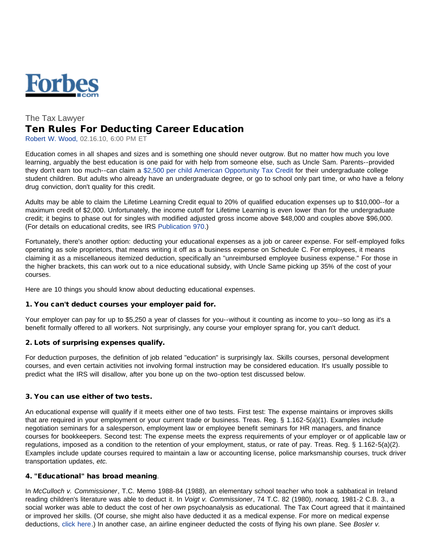

# The Tax Lawyer Ten Rules For Deducting Career Education

Robert W. Wood, 02.16.10, 6:00 PM ET

Education comes in all shapes and sizes and is something one should never outgrow. But no matter how much you love learning, arguably the best education is one paid for with help from someone else, such as Uncle Sam. Parents--provided they don't earn too much--can claim a [\\$2,500 per child American Opportunity Tax Credit](http://www.forbes.com/2009/03/10/college-tax-credit-stimulus-personal-finance-retirement-new-credit.html) for their undergraduate college student children. But adults who already have an undergraduate degree, or go to school only part time, or who have a felony drug conviction, don't quality for this credit.

Adults may be able to claim the Lifetime Learning Credit equal to 20% of qualified education expenses up to \$10,000--for a maximum credit of \$2,000. Unfortunately, the income cutoff for Lifetime Learning is even lower than for the undergraduate credit; it begins to phase out for singles with modified adjusted gross income above \$48,000 and couples above \$96,000. (For details on educational credits, see IRS [Publication 970.](http://www.irs.gov/pub/irs-pdf/p970.pdf))

Fortunately, there's another option: deducting your educational expenses as a job or career expense. For self-employed folks operating as sole proprietors, that means writing it off as a business expense on Schedule C. For employees, it means claiming it as a miscellaneous itemized deduction, specifically an "unreimbursed employee business expense." For those in the higher brackets, this can work out to a nice educational subsidy, with Uncle Same picking up 35% of the cost of your courses.

Here are 10 things you should know about deducting educational expenses.

# 1. You can't deduct courses your employer paid for.

Your employer can pay for up to \$5,250 a year of classes for you--without it counting as income to you--so long as it's a benefit formally offered to all workers. Not surprisingly, any course your employer sprang for, you can't deduct.

# 2. Lots of surprising expenses qualify.

For deduction purposes, the definition of job related "education" is surprisingly lax. Skills courses, personal development courses, and even certain activities not involving formal instruction may be considered education. It's usually possible to predict what the IRS will disallow, after you bone up on the two-option test discussed below.

# 3. You can use either of two tests.

An educational expense will qualify if it meets either one of two tests. First test: The expense maintains or improves skills that are required in your employment or your current trade or business. Treas. Reg. § 1.162-5(a)(1). Examples include negotiation seminars for a salesperson, employment law or employee benefit seminars for HR managers, and finance courses for bookkeepers. Second test: The expense meets the express requirements of your employer or of applicable law or regulations, imposed as a condition to the retention of your employment, status, or rate of pay. Treas. Reg. § 1.162-5(a)(2). Examples include update courses required to maintain a law or accounting license, police marksmanship courses, truck driver transportation updates, *etc.*

# 4. "Educational" has broad meaning.

In *McCulloch v. Commissioner*, T.C. Memo 1988-84 (1988), an elementary school teacher who took a sabbatical in Ireland reading children's literature was able to deduct it. In *Voigt v. Commissioner*, 74 T.C. 82 (1980), *nonacq,* 1981-2 C.B. 3., a social worker was able to deduct the cost of her *own* psychoanalysis as educational. The Tax Court agreed that it maintained or improved her skills. (Of course, she might also have deducted it as a medical expense. For more on medical expense deductions, [click here.](http://www.forbes.com/2009/10/27/deductible-medical-expenses-irs-taxes-personal-finance-wood.html)) In another case, an airline engineer deducted the costs of flying his own plane. See *Bosler v.*